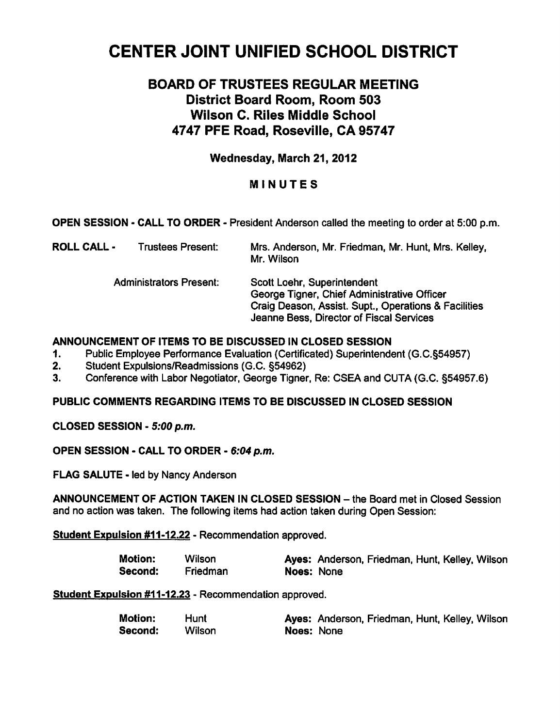# CENTER JOINT UNIFIED SCHOOL DISTRICT

# BOARD OF TRUSTEES REGULAR MEETING District Board Room, Room 503 Wilson C. Riles Middle School 4747 PFE Road, Roseville, CA 95747

# Wednesday, March 21, 2012

# MINUTES

# OPEN SESSION - CALL TO ORDER - President Anderson called the meeting to order at 5:00 p.m.

| ROLL CALL - | <b>Trustees Present:</b>       | Mrs. Anderson, Mr. Friedman, Mr. Hunt, Mrs. Kelley,<br>Mr. Wilson                                                                                                              |
|-------------|--------------------------------|--------------------------------------------------------------------------------------------------------------------------------------------------------------------------------|
|             | <b>Administrators Present:</b> | Scott Loehr, Superintendent<br>George Tigner, Chief Administrative Officer<br>Craig Deason, Assist. Supt., Operations & Facilities<br>Jeanne Bess, Director of Fiscal Services |

# ANNOUNCEMENT OF ITEMS TO BE DISCUSSED IN CLOSED SESSION

- 1. Public Employee Performance Evaluation (Certificated) Superintendent (G.C.§54957)
- 2. Student Expulsions/Readmissions (G.C. §54962)
- 3. Conference with Labor Negotiator, George Tigner, Re: CSEA and CUTA (G.C. §54957.6)

# PUBLIC COMMENTS REGARDING ITEMS TO BE DISCUSSED IN CLOSED SESSION

CLOSED SESSION - 5:00 p.m.

# OPEN SESSION - CALL TO ORDER - 6:04 p.m.

FLAG SALUTE - led by Nancy Anderson

ANNOUNCEMENT OF ACTION TAKEN IN CLOSED SESSION - the Board met in Closed Session and no action was taken. The following items had action taken during Open Session:

Student Expulsion #11-12.22 - Recommendation approved.

| <b>Motion:</b> | Wilson   |            | Ayes: Anderson, Friedman, Hunt, Kelley, Wilson |
|----------------|----------|------------|------------------------------------------------|
| Second:        | Friedman | Noes: None |                                                |

Student Expulsion #11-12.23 - Recommendation approved.

| <b>Motion:</b> | <b>Hunt</b> |            | Ayes: Anderson, Friedman, Hunt, Kelley, Wilson |
|----------------|-------------|------------|------------------------------------------------|
| Second:        | Wilson      | Noes: None |                                                |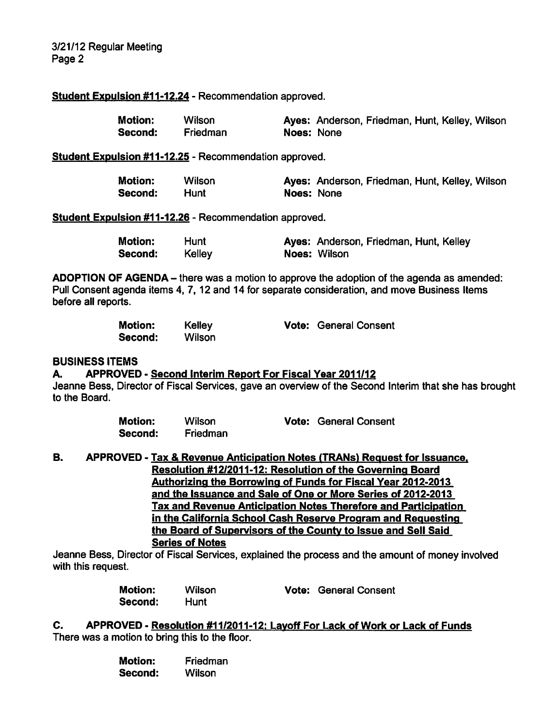3/21/12 Regular Meeting Page 2

#### Student Expulsion #11-12.24 - Recommendation approved.

| <b>Motion:</b> | Wilson   |            | Ayes: Anderson, Friedman, Hunt, Kelley, Wilson |  |  |
|----------------|----------|------------|------------------------------------------------|--|--|
| Second:        | Friedman | Noes: None |                                                |  |  |

Student Expulsion #11-12.25 - Recommendation approved.

| <b>Motion:</b> | Wilson      | Ayes: Anderson, Friedman, Hunt, Kelley, Wilson |  |
|----------------|-------------|------------------------------------------------|--|
| Second:        | <b>Hunt</b> | Noes: None                                     |  |

Student Expulsion #11-12.26 - Recommendation approved.

| <b>Motion:</b> | <b>Hunt</b> | Ayes: Anderson, Friedman, Hunt, Kelley |
|----------------|-------------|----------------------------------------|
| Second:        | Kelley      | Noes: Wilson                           |

ADOPTION OF AGENDA – there was a motion to approve the adoption of the agenda as amended: Pull Consent agenda items 4, 7,12 and 14 for separate consideration, and move Business Items before all reports.

| <b>Motion:</b> | Kelley | <b>Vote: General Consent</b> |
|----------------|--------|------------------------------|
| Second:        | Wilson |                              |

#### BUSINESS ITEMS

A. APPROVED - Second Interim Report For Fiscal Year 2011/12

Jeanne Bess, Director of Fiscal Services, gave an overview of the Second Interim that she has brought to the Board.

| <b>Motion:</b> | <b>Wilson</b> | <b>Vote: General Consent</b> |
|----------------|---------------|------------------------------|
| Second:        | Friedman      |                              |

B. APPROVED - Tax & Revenue Anticipation Notes (TRANs) Request for Issuance. Resolution #12/2011-12: Resolution of the Governing Board Authorizing the Borrowing of Funds for Fiscal Year 2012-2013 and the Issuance and Sale of One or More Series of 2012-2013 Tax and Revenue Anticipation Notes Therefore and Participation in the California School Cash Reserve Program and Requesting the Board of Supervisors of the County to Issue and Sell Said Series of Notes

Jeanne Bess, Director of Fiscal Services, explained the process and the amount of money involved with this request.

| <b>Motion:</b> | Wilson | <b>Vote: General Consent</b> |
|----------------|--------|------------------------------|
| Second:        | Hunt   |                              |

C. APPROVED - Resolution #11/2011-12: Layoff For Lack of Work or Lack of Funds There was a motion to bring this to the floor.

| <b>Motion:</b> | Friedman |
|----------------|----------|
| Second:        | Wilson   |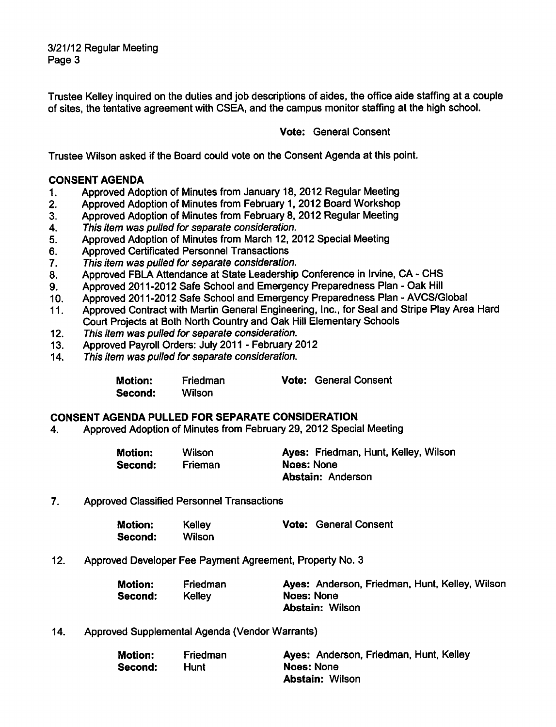3/21/12 Regular Meeting Page 3

Trustee Kelley inquired on the duties and job descriptions of aides, the office aide staffing at a couple of sites, the tentative agreement with CSEA, and the campus monitor staffing at the high school.

Vote: General Consent

Trustee Wilson asked if the Board could vote on the Consent Agenda at this point.

### CONSENT AGENDA

- 1. Approved Adoption of Minutes from January 18, 2012 Regular Meeting
- 2. Approved Adoption of Minutes from February 1, 2012 Board Workshop
- 3. Approved Adoption of Minutes from February 8, 2012 Regular Meeting
- 4. This item was pulled for separate consideration.
- 5. Approved Adoption of Minutes from March 12, 2012 Special Meeting
- 6. Approved Certificated Personnel Transactions
- 7. This item was pulled for separate consideration.
- 8. Approved FBLA Attendance at State Leadership Conference in Irvine, CA CHS
- 9. Approved 2011-2012 Safe School and Emergency Preparedness Plan Oak Hill
- 10. Approved 2011-2012 Safe School and Emergency Preparedness Plan AVCS/Global
- 11. Approved Contract with Martin General Engineering, Inc., for Seal and Stripe Play Area Hard Court Projects at Both North Country and Oak Hill Elementary Schools
- 12. This item was pulled for separate consideration.
- 13. Approved Payroll Orders: July 2011 February 2012
- 14. This item was pulled for separate consideration.

| <b>Motion:</b> | Friedman | <b>Vote: General Consent</b> |
|----------------|----------|------------------------------|
| Second:        | Wilson   |                              |

#### CONSENT AGENDA PULLED FOR SEPARATE CONSIDERATION

4. Approved Adoption of Minutes from February 29, 2012 Special Meeting

| Motion: | Wilson         | Ayes: Friedman, Hunt, Kelley, Wilson |
|---------|----------------|--------------------------------------|
| Second: | <b>Frieman</b> | Noes: None                           |
|         |                | <b>Abstain: Anderson</b>             |

7. Approved Classified Personnel Transactions

| <b>Motion:</b> | Kelley | <b>Vote: General Consent</b> |
|----------------|--------|------------------------------|
| Second:        | Wilson |                              |

#### 12. Approved Developer Fee Payment Agreement, Property No. 3

| <b>Motion:</b> | Friedman | Ayes: Anderson, Friedman, Hunt, Kelley, Wilson |
|----------------|----------|------------------------------------------------|
| Second:        | Kellev   | Noes: None                                     |
|                |          | Abstain: Wilson                                |

14. Approved Supplemental Agenda (Vendor Warrants)

| <b>Motion:</b> | Friedman | Ayes: Anderson, Friedman, Hunt, Kelley |
|----------------|----------|----------------------------------------|
| Second:        | Hunt     | Noes: None                             |
|                |          | <b>Abstain: Wilson</b>                 |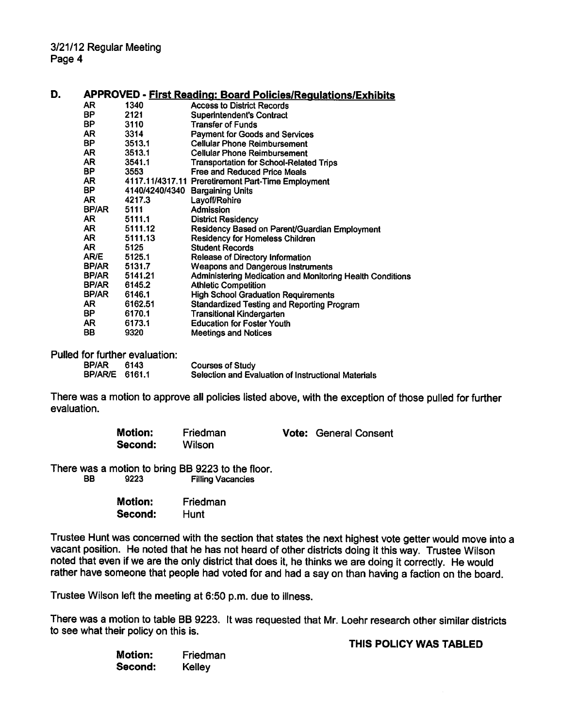3/21/12 Regular Meeting Page 4

| D. |       |         | APPROVED - First Reading: Board Policies/Regulations/Exhibits |
|----|-------|---------|---------------------------------------------------------------|
|    | AR    | 1340    | <b>Access to District Records</b>                             |
|    | BP.   | 2121    | <b>Superintendent's Contract</b>                              |
|    | BP.   | 3110    | <b>Transfer of Funds</b>                                      |
|    | AR.   | 3314    | <b>Payment for Goods and Services</b>                         |
|    | BP.   | 3513.1  | <b>Cellular Phone Reimbursement</b>                           |
|    | AR.   | 3513.1  | <b>Cellular Phone Reimbursement</b>                           |
|    | AR.   | 3541.1  | <b>Transportation for School-Related Trips</b>                |
|    | BP.   | 3553    | Free and Reduced Price Meals                                  |
|    | AR    |         | 4117.11/4317.11 Preretirement Part-Time Employment            |
|    | BP.   |         | 4140/4240/4340 Bargaining Units                               |
|    | AR.   | 4217.3  | Layoff/Rehire                                                 |
|    | BP/AR | 5111    | Admission                                                     |
|    | AR.   | 5111.1  | <b>District Residency</b>                                     |
|    | AR    | 5111.12 | Residency Based on Parent/Guardian Employment                 |
|    | AR.   | 5111.13 | Residency for Homeless Children                               |
|    | AR.   | 5125    | <b>Student Records</b>                                        |
|    | AR/E  | 5125.1  | Release of Directory Information                              |
|    | BP/AR | 5131.7  | <b>Weapons and Dangerous Instruments</b>                      |
|    | BP/AR | 5141.21 | Administering Medication and Monitoring Health Conditions     |
|    | BP/AR | 6145.2  | <b>Athletic Competition</b>                                   |
|    | BP/AR | 6146.1  | <b>High School Graduation Requirements</b>                    |
|    | AR    | 6162.51 | <b>Standardized Testing and Reporting Program</b>             |
|    | BP.   | 6170.1  | <b>Transitional Kindergarten</b>                              |
|    | AR    | 6173.1  | <b>Education for Foster Youth</b>                             |
|    | BB    | 9320    | <b>Meetings and Notices</b>                                   |

Pulled for further evaluation:

| <b>BP/AR 6143</b> | <b>Courses of Study</b>                             |
|-------------------|-----------------------------------------------------|
| BP/AR/E 6161.1    | Selection and Evaluation of Instructional Materials |

There was a motion to approve all policies listed above, with the exception of those pulled for further evaluation.

| <b>Motion:</b> | Friedman | <b>Vote: General Consent</b> |
|----------------|----------|------------------------------|
| Second:        | Wilson   |                              |
|                |          |                              |

There was a motion to bring BB 9223 to the floor. BB 9223 Filling Vacancies

| <b>Motion:</b> | Friedman |
|----------------|----------|
| Second:        | Hunt     |

Trustee Hunt was concerned with the section that states the next highest vote getter would move into a vacant position. He noted that he has not heard of other districts doing it this way. Trustee Wilson noted that even if we are the only district that does it, he thinks we are doing it correctly. He would rather have someone that people had voted for and had a say on than having a faction on the board.

Trustee Wilson left the meeting at 6:50 p.m. due to illness.

There was a motion to table BB 9223. It was requested that Mr. Loehr research other similar districts to see what their policy on this is.

THIS POLICY WAS TABLED

Motion: Friedman Second: Kelley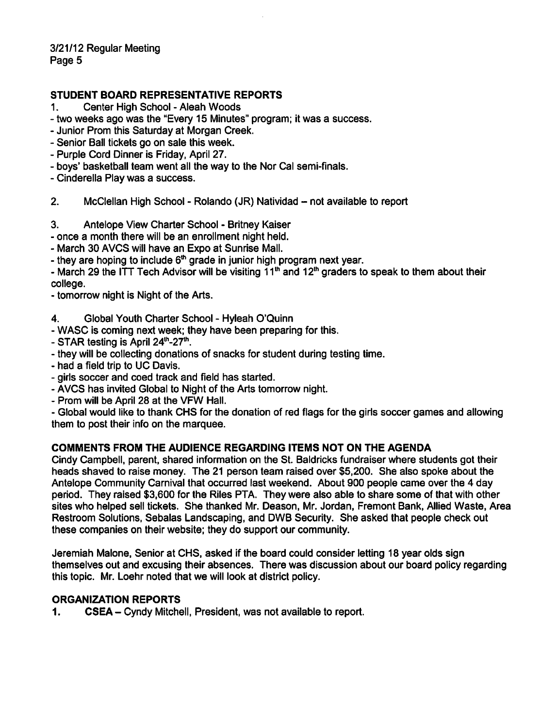# STUDENT BOARD REPRESENTATIVE REPORTS

- 1. Center High School Aleah Woods
- two weeks ago was the "Every 15 Minutes" program; it was a success.
- Junior Prom this Saturday at Morgan Creek.
- Senior Ball tickets go on sale this week.
- Purple Cord Dinner is Friday, April 27.
- boys' basketball team went all the way to the Nor Cal semi-finals.

Cinderella Play was a success.

- 2. McClellan High School Rolando (JR) Natividad  $-$  not available to report
- 3. Antelope View Charter School Britney Kaiser
- once a month there will be an enrollment night held.
- March 30 AVCS will have an Expo at Sunrise Mall.
- they are hoping to include  $6<sup>th</sup>$  grade in junior high program next year.

- March 29 the ITT Tech Advisor will be visiting  $11<sup>th</sup>$  and  $12<sup>th</sup>$  graders to speak to them about their college.

- tomorrow night is Night of the Arts.
- 4. Global Youth Charter School Hyleah O'Quinn
- WASC is coming next week; they have been preparing for this.
- STAR testing is April  $24<sup>th</sup>$ -27<sup>th</sup>.
- they will be collecting donations of snacks for student during testing time.
- had a field trip to UC Davis.
- girls soccer and coed track and field has started.
- AVCS has invited Global to Night of the Arts tomorrow night.
- Prom will be April 28 at the VFW Hall.

Global would like to thank CHS for the donation of red flags for the girls soccer games and allowing them to post their info on the marquee.

# COMMENTS FROM THE AUDIENCE REGARDING ITEMS NOT ON THE AGENDA

Cindy Campbell, parent, shared information on the St. Baldricks fundraiser where students got their heads shaved to raise money. The 21 person team raised over \$5,200. She also spoke about the Antelope Community Carnival that occurred last weekend. About 900 people came over the 4 day period. They raised \$3,600 for the Riles PTA. They were also able to share some of that with other sites who helped sell tickets. She thanked Mr. Deason, Mr. Jordan, Fremont Bank, Allied Waste, Area Restroom Solutions, Sebalas Landscaping, and DWB Security. She asked that people check out these companies on their website; they do support our community.

Jeremiah Malone, Senior at CHS, asked if the board could consider letting 18 year olds sign themselves out and excusing their absences. There was discussion about our board policy regarding this topic. Mr. Loehr noted that we will look at district policy.

# ORGANIZATION REPORTS

1. CSEA – Cyndy Mitchell, President, was not available to report.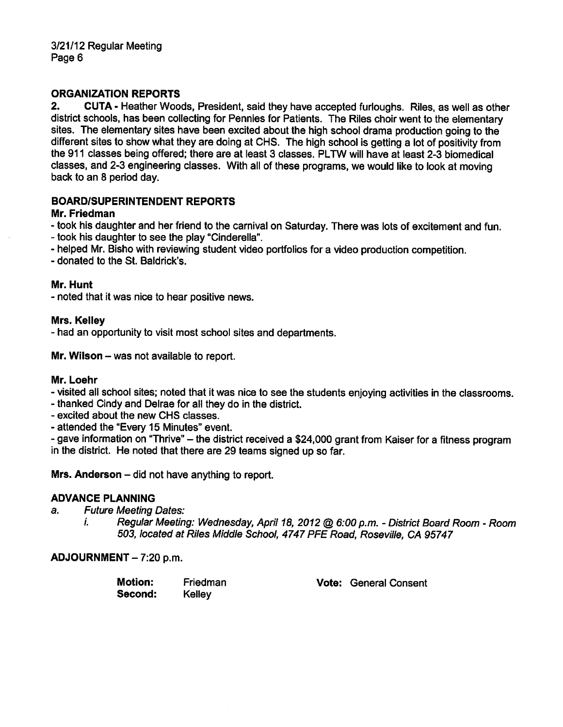# ORGANIZATION REPORTS

2. CUTA - Heather Woods, President, said they have accepted furloughs. Riles, as well as other district schools, has been collecting for Pennies for Patients. The Riles choir went to the elementary sites. The elementary sites have been excited about the high school drama production going to the different sites to show what they are doing at CHS. The high school is getting a lot of positivity from the 911 classes being offered; there are at least 3 classes. PLTW will have at least 2-3 biomedical classes, and 2-3 engineering classes. With all of these programs, we would like to look at moving back to an 8 period day.

# BOARD/SUPERINTENDENT REPORTS

# Mr. Friedman

- took his daughter and her friend to the carnival on Saturday. There was lots of excitement and fun.
- took his daughter to see the play "Cinderella".
- helped Mr. Bisho with reviewing student video portfolios for a video production competition.
- donated to the St. Baldrick's.

# Mr. Hunt

noted that it was nice to hear positive news.

# Mrs. Kelley

- had an opportunity to visit most school sites and departments.

Mr. Wilson  $-$  was not available to report.

# Mr. Loehr

- visited all school sites; noted that it was nice to see the students enjoying activities in the classrooms.
- thanked Cindy and Delrae for all they do in the district.
- excited about the new CHS classes.
- attended the "Every 15 Minutes" event.

- gave information on "Thrive" – the district received a \$24,000 grant from Kaiser for a fitness program in the district. He noted that there are 29 teams signed up so far.

Mrs. Anderson  $-$  did not have anything to report.

# ADVANCE PLANNING

- a. Future Meeting Dates:
	- i. Regular Meeting: Wednesday, April 18, 2012 @ 6:00 p.m. District Board Room Room 503, located at Riles Middle School, 4747 PFE Road, Roseville, CA 95747

 $ADJOURNMENT - 7:20 p.m.$ 

| Motion: | Friedman | <b>Vote: General Consent</b> |  |  |
|---------|----------|------------------------------|--|--|
| Second: | Kelley   |                              |  |  |